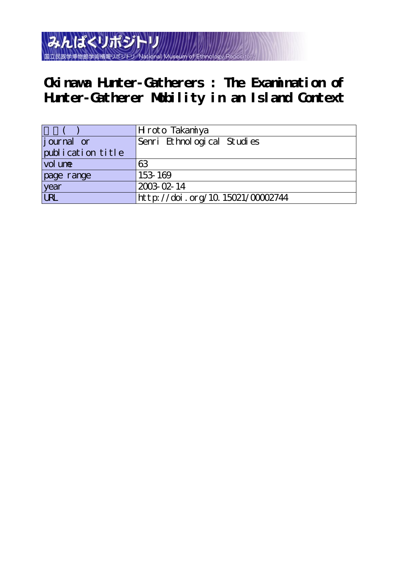

# **Okinawa Hunter-Gatherers : The Examination of Hunter-Gatherer Mobility in an Island Context**

|                    | Hroto Takaninya                  |
|--------------------|----------------------------------|
| <i>j</i> ournal or | Senri Ethnological Studies       |
| publication title  |                                  |
| vol une            | 63                               |
| page range         | 153-169                          |
| year<br>URL        | 2003-02-14                       |
|                    | http://doi.org/10.15021/00002744 |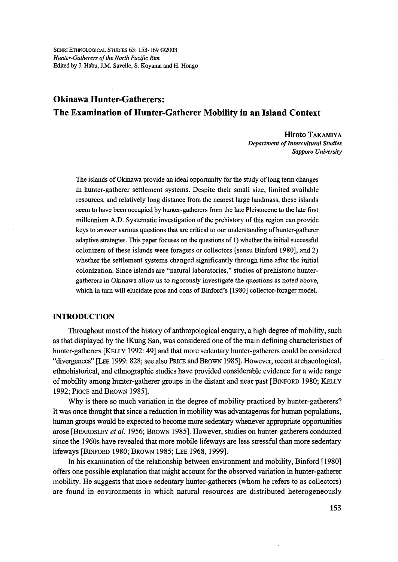# Okinawa Hunter-Gatherers: The Examination of Hunter-Gatherer Mobility in an Island Context

 Eliroto TAKAMIYA Department of Intercultural Studies Sapporo University

The islands of Okinawa provide an ideal opportunity for the study of long term changes in hunter-gatherer settlement systems. Despite their small size, limited available resources, and relatively long distance from the nearest 1arge landmass, these islands seem to have been occupied by hunter-gatherers from the late Pleistocene to the late first millemium A.D. Systematic investigation of the prehistory of this region can provide keys to answer various questions that are critical to our understanding of hunter-gatherer adaptive strategies. This paper focuses on the questions of 1) whether the initial successfu1 colonizers of these islands were foragers or collectors [sensu Binford 1980], and 2) whether the settlement systems changed significantly through time after the initial colonization. Since islands are "natural laboratories," studies of prehistoric huntergatherers in Okinawa allow us to rigorously investigate the questions as noted above, which in turn will elucidate pros and cons of Binford's [1980] collector-forager model.

# INTRODUCTION

Throughout most of the history of anthropological enquiry, a high degree of mobility, such as that displayed by the !Kung San, was considered one of the main defining characteristics of hunter-gatherers [KELLy 1992: 49] and that more sedentary hunter-gatherers could be considered "divergences" [LEE 1999: 828; see also PRicE and BRowN 1985]. However, recent archaeological, ethnohistorical, and ethnographic studies have provided considerable evidence fbr a wide range of mobility among hunter-gatherer groups in the distant and near past [BINFORD 1980; KELLY 1992; PRIcE and BRowu 1985].

Why is there so much variation in the degree of mobility practiced by hunter-gatherers? It was once thought that since a reduction in mobility was advantageous for human populations, human groups would be expected to become more sedentary whenever appropriate opportunities arose [BEARDSLEY et al. 1956; BROWN 1985]. However, studies on hunter-gatherers conducted since the 1960s have revealed that more mobile lifeways are less stressful than more sedentary lifeways [BiNFoRD 1980; BRowN 1985; LEE 1968, 1999].

In his examination of the relationship between environment and mobility, Binford [1980] offers one possible explanation that might account for the observed variation in hunter-gatherer mobility. He suggests that more sedentary hunter-gatherers (whom he refers to as collectors) are found in environments in which naturaj resources are distrjbuted heterogeneously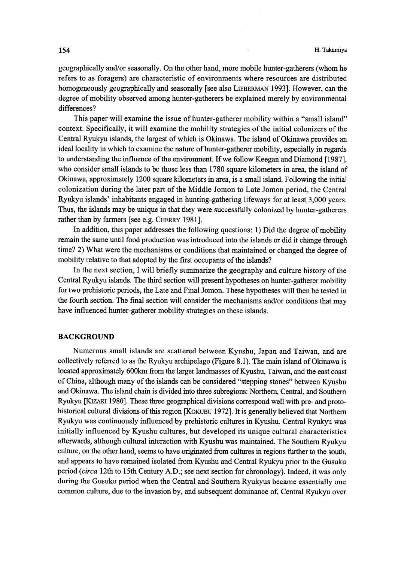geographically and/or seasonally. On the other hand, more mobile hunter-gatherers (whom he refers to as foragers) are characteristic of environments where resources are distributed homogeneously geographically and seasonally [see also LIEBERMAN 1993]. However, can the degree of mobility observed among hunter-gatherers be explained merely by environmental differences?

 This paper will examine the issue of hunter-gatherer mobility within a "small island" context. Specifically, it will examine the mobility strategies of the initial colonizers of the Central Ryukyu islands, the largest of which is Okinawa. The island of Okinawa provides an ideal locality in which to examine the nature of hunter-gatherer mobility, especially in regards to understanding the influence of the environment. If we follow Keegan and Diamond [1987], who consider small islands to be those less than 1780 square kilometers in area, the island of Okmawa, approximately 1200 square kilometers in area, is a small island. Following the initial colonization during the later part of the Middle Jomon to Late Jomon period, the Central Ryukyu islands' inhabitants engaged in hunting-gathering lifeways for at least 3,000 years. Thus, the islands may be unique in that they were successfully colonized by hunter-gatherers rather than by farmers [see e.g. CHERRY 1981].

In addition, this paper addresses the following questions: 1) Did the degree of mobility remain the same until fbod production was introduced into the islands or did it change through time? 2) What were the mechanisms or conditions that maintained or changed the degree of mobility relative to that adopted by the first occupants of the islands?

 In the next section, I will briefly summarize the geography and culture history of the Central Ryukyu islands. The third section will present hypotheses on hunter-gatherer mobility for two prehistoric periods, the Late and Final Jomon. These hypotheses will then be tested in the fourth section. The final section will consider the mechanisms and/or conditions that may have influenced hunter-gatherer mobility strategies on these islands.

# BACKGROUND

 Numerous small islands are scattered between Kyushu, Japan and Taiwan, and are collectively referred to as the Ryukyu archipelago (Figure 8.1). The main island of Okinawa is located approximately 600km from the larger landmasses of Kyushu, Taiwan, and the east coast of China, although many of the islands can be considered "stepping stones" between Kyushu and Okmawa. The island chain is divided into three subregions: Northern, Central, and Southern Ryukyu [KizAKi 1980]. These three geographical divisions correspond well with pre- and protohistorical cultural divisions of this region [KOKUBU 1972]. It is generally believed that Northern Ryukyu was continuously influenced by prehistoric cultures in Kyushu. Central Ryukyu was initially influenced by Kyushu cultures, but developed its unique cultural characteristics afterwards, although cultural interaction with Kyushu was maintained. The Southern Ryukyu culture, on the other hand, seems to have originated from cultures in regions further to the south, and appears to have remained isolated from Kyushu and Central Ryukyu prior to the Gusuku period (circa 12th to 15th Century A.D.; see next section for chronology). Indeed, it was only during the Gusuku period when the Central and Southern Ryukyus became essentially one common culture, due to the invasion by, and subsequent dominance of, Central Ryukyu over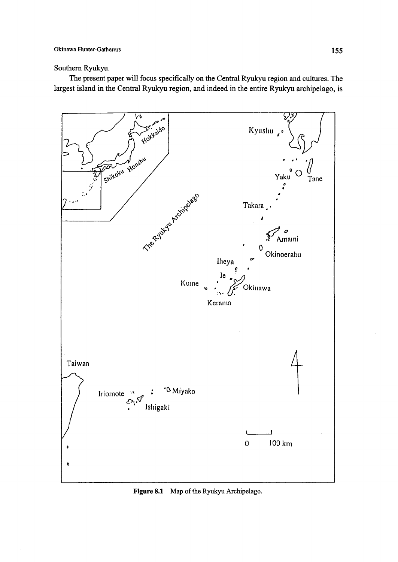# Southern Ryukyu.

The present paper will focus specifically on the Central Ryukyu region and cultures. The largest island in the Central Ryukyu region, and indeed in the entire Ryukyu archipelago, is



Figure 8.1 Map of the Ryukyu Archipelago.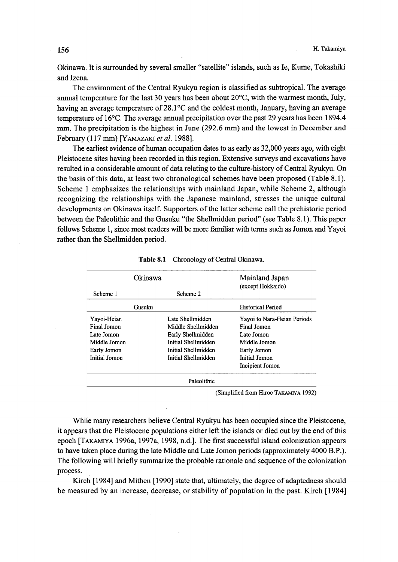Okinawa. It is surrounded by several smaller "satellite" islands, such as Ie, Kume, Tokashiki and Izena.

The environment of the Central Ryukyu region is classified as subtropical. The average annual temperature for the last 30 years has been about  $20^{\circ}$ C, with the warmest month, July, having an average temperature of  $28.1^{\circ}$ C and the coldest month, January, having an average temperature of  $16^{\circ}$ C. The average annual precipitation over the past 29 years has been 1894.4 mm. The precipitation is the highest in June (292.6 mm) and the lowest in December and February (117 mm) [YAMAZAKI et al. 1988].

 The earliest evidence of human occupation dates to as early as 32,OOO years ago, with eight Pleistocene sites having been recorded in this region. Extensive surveys and excavations have resulted in a considerable amount of data relating to the culture-history of Central Ryukyu. On the basis of this data, at least two chronological schemes have been proposed (Table 8.1). Scheme 1 emphasizes the relationships with mainland Japan, while Scheme 2, although recognizing the relationships with the Japanese mainland, stresses the unique cultural developments on Okinawa itself. Supporters of the latter scheme call the prehistoric period between the Paleolithic and the Gusuku "the Shellmidden period" (see Table 8. 1). This paper follows Scheme 1, since most readers wi11 be more familiar with terms such as Jomon and Yayoi rather than the Shellmidden period.

| Okinawa       |        | Mainland Japan<br>(except Hokkaido) |                             |  |
|---------------|--------|-------------------------------------|-----------------------------|--|
| Scheme 1      |        | Scheme 2                            |                             |  |
|               | Gusuku |                                     | <b>Historical Period</b>    |  |
| Yayoi-Heian   |        | Late Shellmidden                    | Yayoi to Nara-Heian Periods |  |
| Final Jomon   |        | Middle Shellmidden                  | Final Jomon                 |  |
| Late Jomon    |        | Early Shellmidden                   | Late Jomon                  |  |
| Middle Jomon  |        | Initial Shellmidden                 | Middle Jomon                |  |
| Early Jomon   |        | Initial Shellmidden                 | Early Jomon                 |  |
| Initial Jomon |        | Initial Shellmidden                 | Initial Jomon               |  |
|               |        |                                     | Incipient Jomon             |  |
|               |        | Paleolithic                         |                             |  |

| Table 8.1 |  |  |  | Chronology of Central Okinawa |
|-----------|--|--|--|-------------------------------|
|-----------|--|--|--|-------------------------------|

(Simplified from Hiroe TAKAMIyA 1992)

 While many researchers believe Central Ryukyu has been occupied since the Pleistocene, it appears that the Pleistocene populations either left the islands or died out by the end of this epoch [TAKAMIYA 1996a, 1997a, 1998, n.d.]. The first successful island colonization appears to have taken place during the late Middle and Late Jomon periods (approximately 4000 B.P.). The following will briefly summarize the probable rationale and sequence of the colonization process.

 Kirch [1984] and Mithen [1990] state that, ultimately, the degree of adaptedness should be measured by an increase, decrease, or stability of population in the past. Kirch [1984]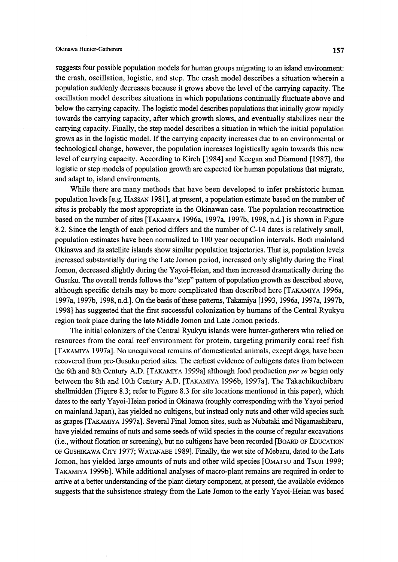# Okinawa Hunter-Gatherers 157

suggests four possible population models for human groups migrating to an island environment: the crash, oscillation, logistic, and step. The crash model describes a situation wherein a population suddenly decreases because it grows above the level ofthe carrying capacity. The oscillation model describes situations in which populations continually fluctuate above and below the carrying capacity. The logistic model describes populations that initially grow rapidly towards the carrying capacity, after which growth slows, and eventually stabilizes near the carrying capacity. Finally, the step model describes a situation in which the mitial population grows as in the logistic model. If the carrying capacity increases due to an environmental or technological change, however, the population increases logistically again towards this new level of carrying capacity. According to Kirch [1984] and Keegan and Diamond [1987], the logistic or step models of population growth are expected for human populations that migrate, and adapt to, island environments.

 While there are many methods that have been developed to infer prehistoric human population levels [e.g. HAssAN 1981], at present, a population estimate based on the number of sites is probably the most appropriate in the Okinawan case. The population reconstmction based on the number of sites [TAKAMIYA 1996a, 1997a, 1997b, 1998, n.d.] is shown in Figure 8.2. Since the length of each period differs and the number of C-14 dates is relatively small, population estimates have been normalized to 1OO year occupation intervals. Both mainland Okinawa and its satellite islands show similar population trajectories. That is, population levels increased substantially during the Late Jomon period, increased only slightly during the Final Jomon, decreased slightly during the Yayoi-Heian, and then increased dramatically during the Gusuku. The overall trends follows the "step" pattern of population growth as described above, although specific details may be more complicated than described here [TAKAMiyA 1996a, 1997a, 1997b, 1998, n.d.]. On the basis ofthese patterns, Takamiya [1993, 1996a, 1997a, 1997b, 1998] has suggested that the first successful colonization by humans of the Central Ryukyu region took place during the late Middle Jomon and Late Jomon periods.

The initial colonizers of the Central Ryukyu islands were hunter-gatherers who relied on resources from the coral reef environment for protein, targeting primarily coral reef fish [TAKAMiyA 1997a]. No unequivocal remains ofdomesticated animals, except dogs, have been recovered from pre-Gusuku period sites. The earliest evidence of cultigens dates from between the 6th and 8th Century A.D. [TAKAMIYA 1999a] although food production per se began only between the 8th and 10th Century A.D. [TAKAMiyA 1996b, 1997a]. The Takachikuchibaru shellmidden (Figure 8.3; refer to Figure 8.3 for site locations mentioned in this paper), which dates to the early Yayoi-Heian period in Okinawa (roughly corresponding with the Yayoi period on mainland Japan), has yielded no cultigens, but instead only nuts and other wild species such as grapes [TAKAMiyA 1997a]. Several Final Jomon sites, such as Nubataki and Nigamashibaru, have yielded remains of nuts and some seeds of wild species in the course of regular excavations (i.e., without fiotation or screening), but no cultigens have been recorded [BoARD oF EDucATioN oF GusHIKAwA CiTy 1977; WATANABE 1989]. Finally, the wet site ofMebaru, dated to the Late Jomon, has yielded large amounts of nuts and other wild species [OMATSU and TSUJI 1999; TAKAMIYA 1999b]. While additional analyses of macro-plant remains are required in order to arrive at a better understanding of the plant dietary component, at present, the available evidence suggests that the subsistence strategy from the Late Jomon to the early Yayoi-Heian was based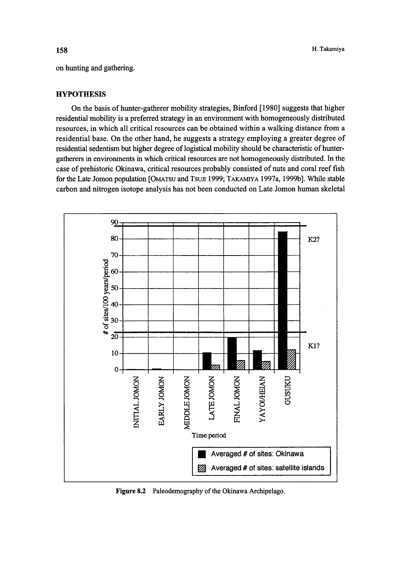on hunting and gathering.

#### **HYPOTHESIS**

On the basis of hunter-gatherer mobility strategies, Binford [1980] suggests that higher residential mobility is a preferred strategy in an environment with homogeneously distributed resources, in which all critical resources can be obtained within a walking distance from a residential base. On the other hand, he suggests a strategy employing a greater degree of residential sedentism but higher degree of logistical mobility should be characteristic of huntergatherers in environments in which critical resources are not homogeneously distributed. In the case of prehistoric Okinawa, critical resources probably consisted of nuts and coral reef fish for the Late Jomon population [OMATSU and TSUJI 1999; TAKAMIYA 1997a, 1999b]. While stable carbon and nitrogen isotope analysis has not been conducted on Late Jomon human skeletal



Figure 8.2 Paleodemography of the Okinawa Archipelago.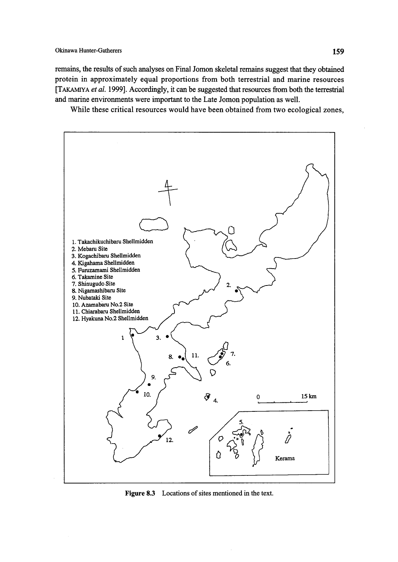remains, the results of such analyses on Final Jomon skeletal remains suggest that they obtained protein in approximately equal proportions from both terrestrial and marine resources [TAKAMIYA et al. 1999]. Accordingly, it can be suggested that resources from both the terrestrial and marine environments were important to the Late Jomon population as well.

While these critical resources would have been obtained from two ecological zones,



Figure 8.3 Locations of sites mentioned in the text.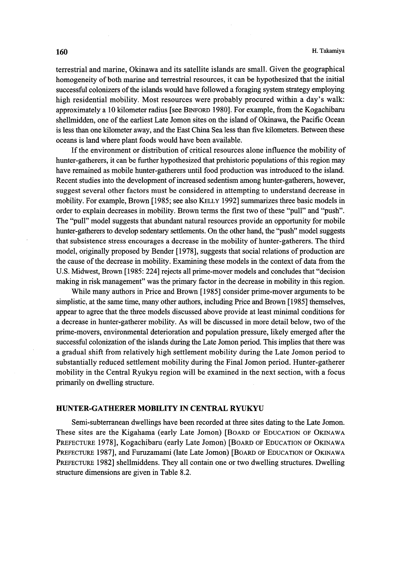terrestrial and marine, Okinawa and its satellite islands are small. Given the geographical homogeneity of both marine and terrestrial resources, it can be hypothesized that the initial successfu1 colonizers of the islands would have fo11owed a foraging system strategy employing high residential mobility. Most resources were probably procured within a day's walk: approximately a 10 kilometer radius [see BINFoRD 1980]. For example, from the Kogachibaru shellmidden, one of the earliest Late Jomon sites on the island of Okinawa, the Pacific Ocean is less than one kilometer away, and the East China Sea less than five kilometers. Between these oceans is land where plant foods would have been available.

 If the environment or distribution of critical resources alone influence the mobility of hunter-gatherers, it can be further hypothesized that prehistoric populations of this region may have remained as mobile hunter-gatherers until food production was introduced to the island. Recent studies into the development of increased sedentism among hunter-gatherers, however, suggest several other factors must be considered in attempting to understand decrease in mobility. For example, Brown [1985; see also KELLy 1992] summarizes three basic models in order to explain decreases in mobility. Brown terms the first two of these "pull" and "push". The "pull" model suggests that abundant natural resources provide an opportunity for mobile hunter-gatherers to develop sedentary settlements. On the other hand, the "push" model suggests that subsistence stress encourages a decrease in the mobility of hunter-gatherers. The third model, originally proposed by Bender [1978], suggests that social relations of production are the cause of the decrease in mobility. Examining these models in the context of data from the U.S. Midwest, Brown [1985: 224] rejects all prime-mover models and concludes that "decision making in risk management" was the primary factor in the decrease in mobility in this region.

While many authors in Price and Brown [1985] consider prime-mover arguments to be simplistic, at the same time, many other authors, including Price and Brown [1985] themselves, appear to agree that the three models discussed above provide at least minimal conditions for a decrease in hunter-gatherer mobility. As will be discussed in more detail below, two of the prime-movers, environmenta1 deterioration and population pressure, likely emerged after the successful colonization of the islands during the Late Jomon period. This implies that there was a gradual shift from relatively high settlement mobility during the Late Jomon period to substantially reduced settlement mobility during the Final Jomon period. Hunter-gatherer mobility in the Central Ryukyu region will be examined in the next section, with a focus primarily on dwelling stmcture.

# HUNTER-GATHERER MOBILITY IN CENTRAL RYUKYU

 Semi-subterranean dwellings have been recorded at three sites dating to the Late Jomon. These sites are the Kigahama (early Late Jomon) [BoARD oF EDucATioN oF OKiNAwA PREFECTURE 1978], Kogachibaru (early Late Jomon) [BOARD OF EDUCATION OF OKINAWA PREFECTURE 1987], and Furuzamami (late Late Jomon) [BOARD OF EDUCATION OF OKINAWA PREFECTURE 1982] shellmiddens. They all contain one or two dwelling structures. Dwelling structure dimensions are given in Table 8.2.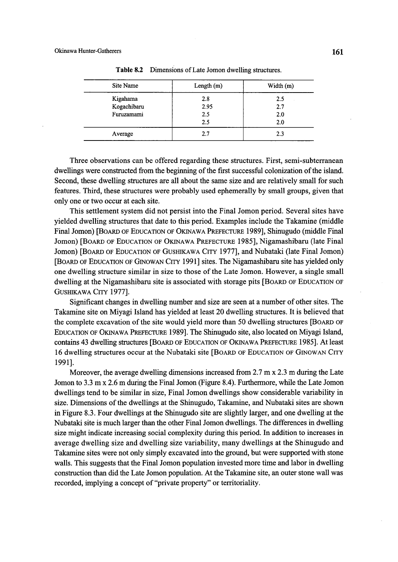| Site Name   | Length $(m)$ | Width $(m)$ |
|-------------|--------------|-------------|
| Kigahama    | 2.8          | 2.5         |
| Kogachibaru | 2.95         | 2.7         |
| Furuzamami  | 2.5          | 2.0         |
|             | 2.5          | 2.0         |
| Average     | 2.7          | 2.3         |

Table 8.2 Dimensions of Late Jomon dwelling structures.

 Three observations can be offered regarding these structures. First, semi-subterranean dwellings were constructed from the beginning of the first successful colonization of the island. Second, these dwelling structures are all about the same size and are relatively small for such features. Third, these structures were probably used ephemerally by small groups, given that only one or two occur at each site.

 This settlement system did not persist into the Final Jomon period. Several sites have yielded dwelling structures that date to this period. Examples include the Takamine (middle Final Jomon) [BoARD oF EDucATioN oF OKiNAwA PREFEcTuRE 1989], Shinugudo (middle Final Jomon) [BoARD oF EDucATIoN oF OKINAwA PREFEcTuRE 1985], Nigamashibaru (late Final Jomon) [BoARD oF EDucATIoN oF GusHIKAwA CiTy 1977], and Nubataki (late Final Jomon) [BoARD oF EDucATioN oF GiNowAN CiTy 199!] sites. The Nigamashibaru site has yielded only one dwelling structure similar in size to those of the Late Jomon. However, a single small dwelling at the Nigamashibaru site is associated with storage pits [BOARD OF EDUCATION OF GusHIKAwA CITy 1977].

Significant changes in dwelling number and size are seen at a number of other sites. The Takamine site on Miyagi Island has yielded at least 20 dwelling stmctures. It is believed that the complete excavation of the site would yield more than 50 dwelling structures [BOARD OF EDUCATION OF OKINAWA PREFECTURE 19891. The Shinugudo site, also located on Miyagi Island, contains 43 dwelling structures [BOARD OF EDUCATION OF OKINAWA PREFECTURE 1985]. At least 16 dwelling stmctures occur at the Nubataki site [BoARD oF EDucATIoN oF GINowAN CITy 1991].

 Moreover, the average dwelling dimensions increased from 2.7 m x 2.3 m during the Late Jomon to 3.3 m x 2.6 m during the Final Jomon (Figure 8.4). Funhermore, while the Late Jomon dwellings tend to be similar in size, Final Jomon dwellings show considerable variability in size. Dimensions of the dwellings at the Shinugudo, Takamine, and Nubataki sites are shown in Figure 8.3. Four dwellings at the Shinugudo site are slightly larger, and one dwelling at the Nubataki site is much 1arger than the other Final Jomon dwellings. The differences in dwelling size might indicate increasing social complexity during this period. ln addition to increases in average dwelling size and dwelling size variability, many dwellings at the Shinugudo and Takamine sites were not only simply excavated into the ground, but were supported with stone walls. This suggests that the Final Jomon population invested more time and labor in dwelling construction than did the Late Jomon population. At the Takamine site, an outer stone wall was recorded, implying a concept of "private property" or territoriality.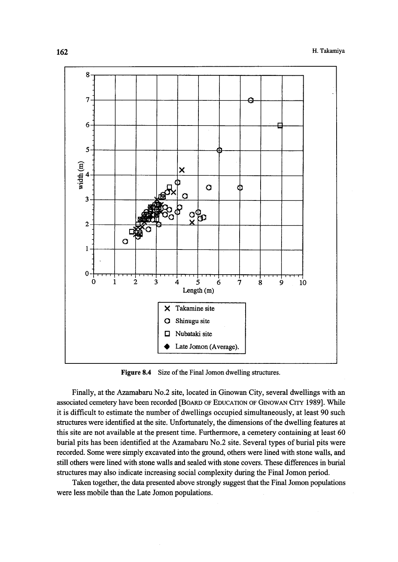

Figure 8.4 Size of the Final Jomon dwelling structures.

 Finally, at the Azamabaru No.2 site, located in Ginowan City, several dwellings with an associated cemetery have been recorded [BoARD oF EDucATioN oF GiNowAN Cffy 1989]. While it is difficult to estimate the number of dwellings occupied simultaneously, at least 90 such structures were identified at the site. Unfortunately, the dimensions of the dwelling features at this site are not available at the present time. Furthermore, a cemetery containing at least 60 burial pits has been identified at the Azamabaru No.2 site. Several types of burial pits were recorded. Some were simply excavated into the ground, others were 1ined with stone walls, and still others were lined with stone walls and sealed with stone covers. These differences in burial structures may also indicate increasing social complexity during the Final Jomon period.

 Taken together, the data presented above strongly suggest that the Final Jomon populations were less mobile than the Late Jomon populations.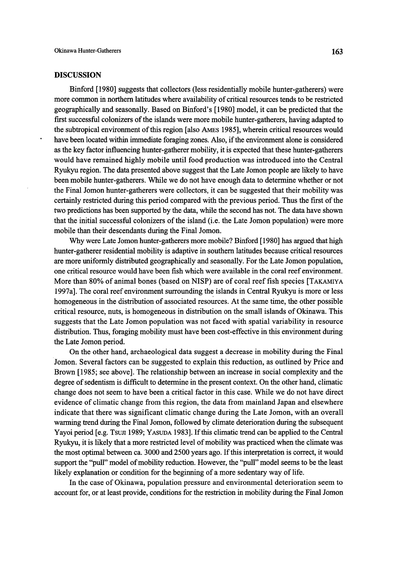# DISCUSSION

 Binfbrd [1980] suggests that collectors (less residentially mobile hunter-gatherers) were more common in northern latitudes where availability of critical resources tends to be restricted geographically and seasonally. Based on Binfbrd's [1980] model, it can be predicted that the first successful colonizers of the islands were more mobile hunter-gatherers, having adapted to the subtropical environment ofthis region [also AMEs 1985I, wherein critical resources would have been located within immediate foraging zones. Also, if the environment alone is considered as the key factor infiuencing hunter-gatherer mobility, it is expected that these hunter-gatherers would have remained highly mobile until food production was introduced into the Central Ryukyu region. The data presented above suggest that the Late Jomon people are likely to have been mobile hunter-gatherers. While we do not have enough data to determine whether or not the Final Jomon hunter-gatherers were collectors, it can be suggested that their mobility was certainly restricted during this period compared with the previous period. Thus the first of the two predictions has been supported by the data, while the second has not. The data have shown that the initial successfu1 colonizers of the island (i.e. the Late Jomon population) were more mobile than their descendants during the Final Jomon.

Why were Late Jomon hunter-gatherers more mobile? Binford [1980] has argued that high hunter-gatherer residential mobility is adaptive in southern latitudes because critical resources are more unifbrmly distributed geographically and seasonally. For the Late Jomon population, one critical resource would have been fish which were available in the coral reefenvironment. More than 80% of animal bones (based on NISP) are of coral reef fish species [TAKAMIYA 1997a]. The coral reefenvironment surrounding the islands in Central Ryukyu is more or less homogeneous in the distribution of associated resources. At the same time, the other possible critical resource, nuts, is homogeneous in distribution on the small islands of Okinawa. This suggests that the Late Jomon population was not faced with spatial variability in resource distribution. Thus, foraging mobility must have been cost-effective in this environment during the Late Jomon period.

 0n the other hand, archaeological data suggest a decrease in mobility during the Final Jomon. Several factors can be suggested to explain this reduction, as outlined by Price and Brown [1985; see above]. The relationship between an increase in social complexity and the degree of sedentism is difficult to determine in the present context. On the other hand, climatic change does not seem to have been a critical factor in this case. While we do not have direct evidence of climatic change from this region, the data from mainland Japan and elsewhere indicate that there was significant climatic change during the Late Jomon, with an overall warming trend during the Final Jomon, followed by climate deterioration during the subsequent Yayoi period [e.g. Tsun 1989; YASUDA 1983]. If this climatic trend can be applied to the Central Ryukyu, it is likely that a more restricted level of mobility was practiced when the climate was the most optimal between ca. 3000 and 2500 years ago. If this interpretation is correct, it would support the "pull" model of mobility reduction. However, the "pull" model seems to be the least likely explanation or condition for the beginning of a more sedentary way of life.

 In the case of Okinawa, population pressure and environmental deterioration seem to account fbr, or at least provide, conditions for the restriction in mobility during the Final Jomon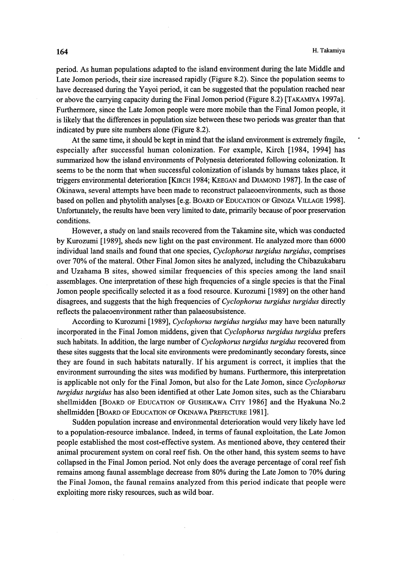period. As human populations adapted to the island environment during the late Middle and Late Jomon periods, their size increased rapidly (Figure 8.2). Since the population seems to have decreased during the Yayoi period, it can be suggested that the population reached near or above the carrying capacity during the Final Jomon period (Figure 8.2) [TAKAMiyA 1997a]. Furtherrnore, since the Late Jomon people were more mobile than the Final Jomon people, it is 1ikely that the differences in population size between these two periods was greater than that indicated by pure site numbers alone (Figure 8.2).

 At the same time, it should be kept in mind that the island environment is extremely fragile, especially after successfu1 human colonization. For example, Kirch [1984, 1994] has summarized how the island environments of Polynesia deteriorated following colonization. It seems to be the norm that when successful colonization of islands by humans takes place, it triggers environmental deterioration [KiRcH 1984; KEEGAN and DiAMoND 1987]. In the case of Okinawa, several attempts have been made to reconstmct palaeoenvironments, such as those based on pollen and phytolith analyses [e.g. BOARD OF EDUCATION OF GINOZA VILLAGE 1998]. Unfortunately, the results have been very limited to date, primarily because of poor preservation conditions.

 However, a study on land snails recovered from the Takamine site, which was conducted by Kurozumi [1989], sheds new light on the past environment. He analyzed more than 6000 individual land snails and found that one species, Cyclophorus turgidus turgidus, comprises over 70% of the materal. Other Final Jomon sites he analyzed, including the Chibazukabaru and Uzahama B sites, showed similar frequencies of this species among the land snail assemblages. One interpretation of these high frequencies of a single species is that the Final Jomon people specifically selected it as a fbod resource. Kurozumi [1989] on the other hand disagrees, and suggests that the high frequencies of *Cyclophorus turgidus turgidus* directly refiects the palaeoenvironment rather than palaeosubsistence.

According to Kurozumi [1989], Cyclophorus turgidus turgidus may have been naturally incorporated in the Final Jomon middens, given that Cyclophorus turgidus turgidus prefers such habitats. In addition, the large number of Cyclophorus turgidus turgidus recovered from these sites suggests that the local site environments were predominantly secondary forests, since they are fbund in such habitats naturally. If his argument is correct, it implies that the environment surrounding the sites was modified by humans. Furthermore, this interptetation is applicable not only for the Final Jomon, but also for the Late Jomon, since Cyclophorus turgidus turgidus has also been identified at other Late Jomon sites, such as the Chiarabaru shellmidden [BOARD OF EDUCATION OF GUSHIKAWA CITY 1986] and the Hyakuna No.2 shellmidden [BoARD oF EDucATIoN oF OKINAwA PREFEcTuRE 1981].

 Sudden population increase and environmental deterioration would very likely have led to a population-resource imbalance. Indeed, in terms of faunal exploitation, the Late Jomon people established the most cost-effective system. As mentioned above, they centered their animal procurement system on coral reef fish. On the other hand, this system seems to have collapsed in the Final Jomon period. Not only does the average percentage of coral reef fish remains among faunal assemblage decrease from 80% during the Late Jomon to 70% during the Final Jomon, the faunal remains analyzed from this period indicate that people were exploiting more risky resources, such as wild boar.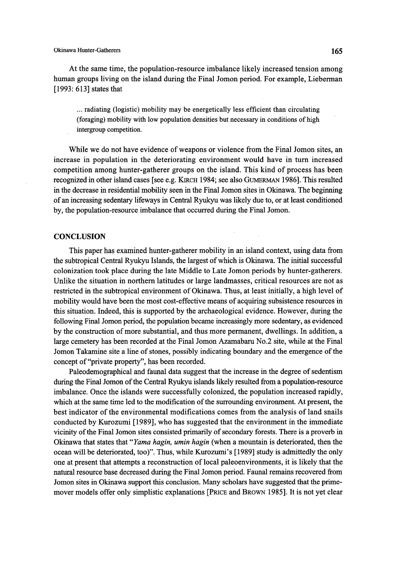At the same time, the population-resource imbalance likely increased tension among human groups living on the island during the Final Jomon period. For example, Lieberman [1993: 613] states that

... radiating (logistic) mobility may be energetically less efficient than circulating (foraging) mobility with low population densities but necessary in conditions of high intergroup competition.

While we do not have evidence of weapons or violence from the Final Jomon sites, an increase in population in the deteriorating environment would have in turn increased competition among hunter-gatherer groups on the island. This kind of process has been recognized in other island cases [see e.g. KIRCH 1984; see also GUMERMAN 1986]. This resulted in the decrease in residential mobility seen in the Final Jomon sites in Okinawa. The beginning of an increasing sedentary lifeways in Central Ryukyu was 1ikely due to, or at least conditioned by, the population-resource imbalance that occurred during the Final Jomon.

# **CONCLUSION**

 This paper has examined hunter-gatherer mobility in an island context, using data from the subtropical Central Ryukyu Islands, the largest of which is Okinawa. The initial successful colonization took place during the late Middle to Late Jomon periods by hunter-gatherers. Unlike the situation in northern latitudes or large landmasses, critical resources are not as restricted in the subtropical environment of Okinawa. Thus, at least initially, a high level of mobility would have been the most cost-effective means of acquiring subsistence resources in this situation. Indeed, this is supported by the archaeological evidence. However, during the following Final Jomon period, the population became increasingly more sedentary, as evidenced by the constmction ofmore substantial, and thus more permanent, dwellings. In addition, a large cemetery has been recorded at the Final Jomon Azamabaru No.2 site, while at the Final Jomon Takamine site a line of stones, possibly indicating boundary and the emergence of the concept of "private property", has been recorded.

 Paleodemographical and faunal data suggest that the increase in the degree of sedentism during the Final Jomon of the Central Ryukyu islands likely resulted from a population-resource imbalance. Once the islands were successfu11y colonized, the population increased rapidly, which at the same time led to the modification of the surrounding environment. At present, the best indicator of the environmental modifications comes from the analysis of land snails conducted by Kurozumi [1989], who has suggested that the environment in the immediate vicinity of the Final Jomon sites consisted primarily of secondary forests. There is a proverb in Okinawa that states that "Yama hagin, umin hagin (when a mountain is deteriorated, then the ocean will be deteriorated, too)". Thus, while Kurozumi's [1989] study is admittedly the only one at present that attempts a reconstruction of local paleoenvironments, it is likely that the natural resource base decreased during the Final Jomon period. Faunal remains recovered from Jomon sites in Okinawa support this conclusion. Many scholars have suggested that the primemover models offer only simplistic explanations [PRICE and BROWN 1985]. It is not yet clear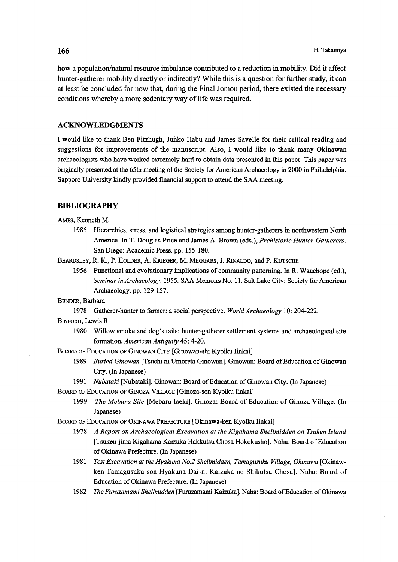how a population/natural resource imbalance contributed to a reduction in mobility. Did it affect hunter-gatherer mobility directly or indirectly? While this is a question for further study, it can at least be concluded fbr now that, during the Final Jomon period, there existed the necessary conditions whereby a more sedentary way of life was required.

# **ACKNOWLEDGMENTS**

I would like to thank Ben Fitzhugh, Junko Habu and James Savelle for their critical reading and suggestions for improvements of the manuscript. Also, I would like to thank many Okinawan archaeologists who have worked extremely hard to obtain data presented in this paper. This paper was originally presented at the 65th meeting of the Society for American Archaeology in 2000 in Philadelphia. Sapporo University kindly provided financial support to attend the SAA meeimg.

# BIBLIOGRAPHY

AMEs, Kenneth M.

 1985 Hierarchies, stress, and logistical strategies among hurrter-gatherers in northwestern North America. In T. Douglas Price and James A. Brown (eds.), Prehistoric Hunter-Gatherers. San Diego: Academic Press. pp. 155-180.

BEARDSLEY, R. K., P. HOLDER, A. KRIEGER, M. MEGGARS, J. RINALDO, and P. KUTSCHE

1956 Functional and evolutionary implications of community patterning. In R. Wauchope (ed.), Seminar in Archaeology: 1955. SAA Memoirs No. 11. Salt Lake City: Society for American Archaeology. pp. 129-157.

BENDER, Barbara

1978 Gatherer-hunter to farmer: a social perspective. World Archaeology 10: 204-222.

BiNFoRD, Lewis R.

 1980 Willow smoke and dog's tails: hunter-gatherer settlement systems and archaeological site formation. American Antiquity 45: 4-20.

BoARD oF EDucATIoN oF GINowAN CITy [Ginowan-shi Kyoiku Iinkai]

- 1989 Buried Ginowan [Tsuchi ni Umoreta Ginowan]. Ginowan: Board of Education of Ginowan City. (In Japanese)
- 1991 Nubataki [Nubataki]. Ginowan: Board of Education of Ginowan City. (In Japanese)

BOARD OF EDUCATION OF GINOZA VILLAGE [Ginoza-son Kyoiku Iinkai]

1999 The Mebaru Site [Mebaru Iseki]. Ginoza: Board of Education of Ginoza Village. (In Japanese)

BOARD OF EDuCATION OF OKINAwA PREFEcTuRE [Okinawa-ken Kyoiku Iinkai]

- 1978 A Report on Archaeological Excavation at the Kigahama Shellmidden on Tsuken Island [Tsuken-jima Kigahama Kaizuka Hakkutsu Chosa Hokokusho]. Naha: Board of Education of Okinawa Prefecture. (ln Japanese)
- 1981 Test Excavation at the Hyakuna No.2 Shellmidden, Tamagusuku Village, Okinawa [Okinaw ken Tamagusuku-son Hyakuna Dai-ni Kaizuka no Shikutsu Chosa]. Naha: Board of Education of Okinawa Prefecture. (In Japanese)
- 1982 The Furuzamami Shellmidden [Furuzamami Kaizuka]. Naha: Board of Education of Okinawa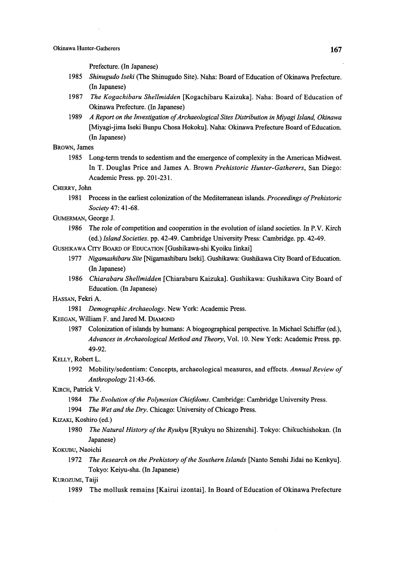Prefecture. (In Japanese)

- 1985 Shinugudo Iseki (The Shinugudo Site). Naha: Board of Education of Okinawa Prefecture. (In Japanese)
- 1987 The Kogachibaru Shellmidden [Kogachibaru Kaizuka]. Naha: Board of Education of Okinawa Prefecture. (ln Japanese)
- 1989 A Report on the Investigation of Archaeological Sites Distribution in Miyagi Island, Okinawa [Miyagi-jima Iseki Bunpu Chosa Hokoku]. Naha: Okinawa Prefecture Board of Education. (In Japanese)

#### BROWN, James

 1985 Long-term trends to sedentism and the emergence ofcomplexity in the American Midwest. In T. Douglas Price and James A. Brown Prehistoric Hunter-Gatherers, San Diego: Academic Press. pp. 201-231.

#### CHERRy, John

- 1981 Process in the earliest colonization of the Mediterranean islands. Proceedings of Prehistoric Society 47: 41-68.
- GuMERMAN, George J.
	- 1986 The role of competition and cooperation in the evolution of island societies. In P.V. Kirch (ed.) Island Societies. pp. 42-49. Cambridge University Press: Cambridge. pp. 42-49.

GUSHIKAWA CITY BOARD OF EDUCATION [Gushikawa-shi Kyoiku Iinkai]

- 1977 Nigamashibaru Site [Nigamashibaru Iseki]. Gushikawa: Gushikawa City Board of Education. (In Japanese)
- 1986 Chiarabaru Shellmidden [Chiarabaru Kaizuka]. Gushikawa: Gushikawa City Board of Education. (In Japanese)

#### HASSAN, Fekri A.

1981 Demographic Archaeology. New York: Academic Press.

# KEEGAN, William F. and Jared M. DiAMoND

 1987 Colonization ofislands by humans: A biogeogrqphical perspective. in Michael Schiffer (ed.), Advances in Archaeological Method and Theory, Vol. 10. New York: Academic Press. pp. 49-92.

#### KELLy, Robert L.

1992 Mobility/sedentism: Concepts, archaeological measures, and effects. Annual Review of Anthropology 21:43-66.

#### KiRcH, Patrick V.

- 1984 The Evolution of the Polynesian Chiefdoms. Cambridge: Cambridge University Press.
- 1994 The Wet and the Dry. Chicago: University of Chicago Press.

# KizAKi, Koshiro (ed.)

1980 The Natural History of the Ryukyu [Ryukyu no Shizenshi]. Tokyo: Chikuchishokan. (In Japanese)

#### KoKuBu, Naoichi

1972 The Research on the Prehistory of the Southern Islands [Nanto Senshi Jidai no Kenkyu]. Tokyo: Keiyu-sha. (In Japanese)

#### KUROZUMI, Taiji

1989 The mollusk remains [Kairui izontai]. In Board of Education of Okinawa Prefecture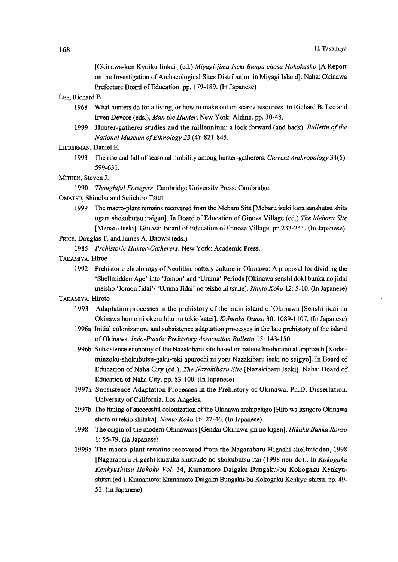[Okinawa-ken Kyoiku Iinkai] (ed.) Miyagi-jima Iseki Bunpu chosa Hokokusho [A Report on the Investigation of Archaeological Sites Distribution in Miyagi Island]. Naha: Okinawa Prefecture Board of Education. pp. 179-189. (In Japanese)

LEE, Rjchard B.

- 1968 What hunters do for a living, or how to make out on scarce resources. In Richard B. Lee and Irven Devore (eds.), Man the Hunter. New York: Aldine. pp. 30-48.
- 1999 Hunter-gatherer studies and the millennium: a look forward (and back). Bulletin of the National Museum of Ethnology 23 (4): 821-845.

#### LIEBERMAN, Daniel E.

1993 The rise and fall of seasonal mobility among hunter-gatherers. Current Anthropology 34(5): 599-631.

MITHEN, Steven J.

1990 Thoughtful Foragers. Cambridge University Press: Cambridge.

OMATSU, Shinobu and Seiichiro Tsun

1999 The macro-plant remains recovered from the Mebaru Site [Mebaru iseki kara sanshutsu shita ogata shokubutsu itaigun]. In Board of Education of Ginoza Village (ed.) The Mebaru Site [Mebaru Iseki]. Ginoza: Board of Edncation of Ginoza Village. pp.233-241. (In Japanese)

PRICE, Douglas T. and James A. BROWN (eds.)

1985 Prehistoric Hunter-Gatherers. New York: Academic Press.

- TAKAMIyA, Hiroe
	- 1992 Prehistoric chrolonogy of Neolithic pottery culture in Okinawa: A proposal for dividing the `Shellmidden Age' into `Jomon' and '`Uruma' Periods [Okmawa senshi doki bunka no jidai meisho 'Jomon Jidai'/ 'Uruma Jidai' no teisho ni tsuite]. Nanto Koko 12: 5-10. (In Japanese)
- TAKAMIyA, Hiroto
	- 1993 Adaptation processes in the prehistory of the main island of Okinawa [Senshi jidai no Okinawa honto ni okeru hito no tekio katei]. Kobunka Danso 30: 1089-1107. (In Japanese)
	- 1996a Initial colonization, and subsistence adaptation processes in the late prehistory ofthe island of Okinawa. Indo-Pacific Prehistory Association Bulletin 15: 143-150.
	- 1996b Subsistence economy of the Nazakibaru site based on paleoethnobotanical approach [Kodai minzoku-shokubutsu-gaku-teki apurochi ni yoru Nazakibaru iseki no seigyo]. in Board of Education of Naha City (ed.), The Nazakibaru Site [Nazakibaru Iseki]. Naha: Board of Education of Naha City. pp. 83-100. (In Japanese)
	- 1997a Subsistence Adaptation Processes in the Prehistory of Okinawa. Ph.D. Dissertation. University of California, Los Angeles.
	- 1997b TThe timing ofsuccessfu1 colonization ofthe Okinawa archipelago [Hito wa itsugoro Okinawa shoto ni tekio shitaka]. Nanto Koko 16: 27-46. (In Japanese)
	- 1998 The origin of the modern Okinawans [Gendai Okinawa-jin no kigen]. Hikaku Bunka Ronso 1: 55-79. (In Japanese)
- 1999a The macro-plant remains recovered from the Nagarabaru Higashi shellmidden, 1998 [Nagarabaru Higashi kaizuka shutsudo no shokubutsu itai (1998 nen-do)]. In Kokogaku Kenkyushitsu Hokoku Vol. 34, Kumamoto Daigaku Bungaku-bu Kokogaku Kenkyu shitsu.(ed.). Kumamoto: Kumarnoto Daigaku Bungaku-bu Kokogaku Kenkyu-shitsu. pp. 49- 53. (In Japanese)<br>53. (In Japanese)